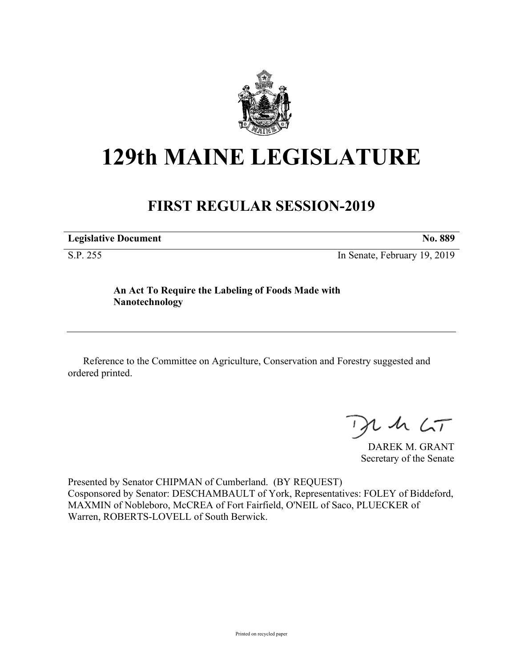

## **129th MAINE LEGISLATURE**

## **FIRST REGULAR SESSION-2019**

**Legislative Document No. 889**

S.P. 255 In Senate, February 19, 2019

**An Act To Require the Labeling of Foods Made with Nanotechnology**

Reference to the Committee on Agriculture, Conservation and Forestry suggested and ordered printed.

 $125$ 

DAREK M. GRANT Secretary of the Senate

Presented by Senator CHIPMAN of Cumberland. (BY REQUEST) Cosponsored by Senator: DESCHAMBAULT of York, Representatives: FOLEY of Biddeford, MAXMIN of Nobleboro, McCREA of Fort Fairfield, O'NEIL of Saco, PLUECKER of Warren, ROBERTS-LOVELL of South Berwick.